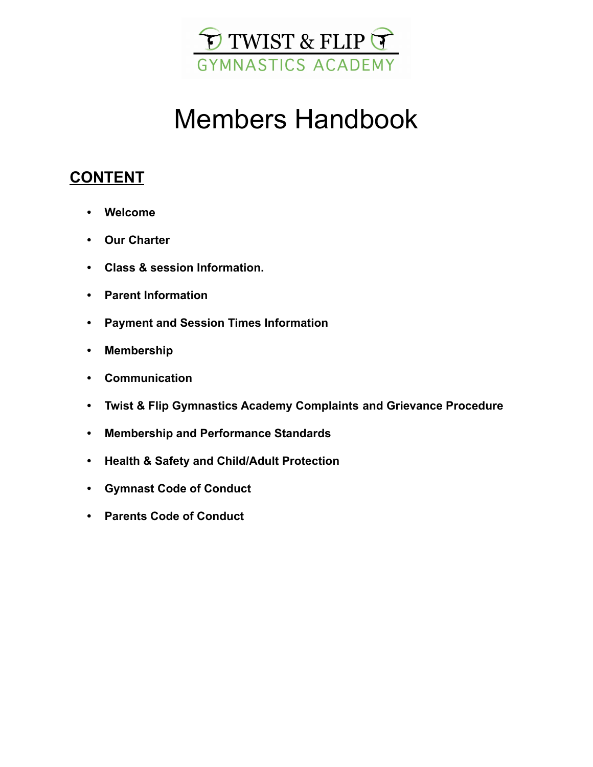

# Members Handbook

### **CONTENT**

- **• Welcome**
- **• Our Charter**
- **• Class & session Information.**
- **• Parent Information**
- **• Payment and Session Times Information**
- **• Membership**
- **• Communication**
- **• Twist & Flip Gymnastics Academy Complaints and Grievance Procedure**
- **• Membership and Performance Standards**
- **• Health & Safety and Child/Adult Protection**
- **• Gymnast Code of Conduct**
- **• Parents Code of Conduct**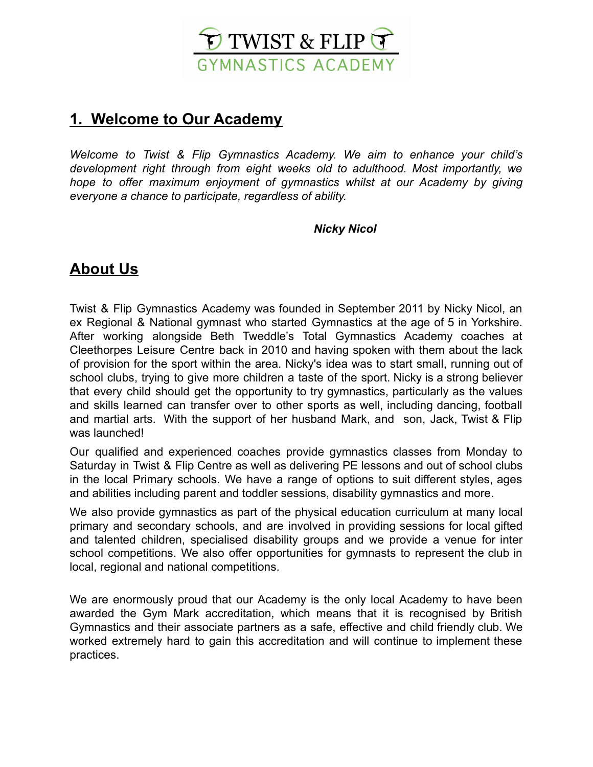

### **1. Welcome to Our Academy**

*Welcome to Twist & Flip Gymnastics Academy. We aim to enhance your child's development right through from eight weeks old to adulthood. Most importantly, we hope to offer maximum enjoyment of gymnastics whilst at our Academy by giving everyone a chance to participate, regardless of ability.*

### *Nicky Nicol*

### **About Us**

Twist & Flip Gymnastics Academy was founded in September 2011 by Nicky Nicol, an ex Regional & National gymnast who started Gymnastics at the age of 5 in Yorkshire. After working alongside Beth Tweddle's Total Gymnastics Academy coaches at Cleethorpes Leisure Centre back in 2010 and having spoken with them about the lack of provision for the sport within the area. Nicky's idea was to start small, running out of school clubs, trying to give more children a taste of the sport. Nicky is a strong believer that every child should get the opportunity to try gymnastics, particularly as the values and skills learned can transfer over to other sports as well, including dancing, football and martial arts. With the support of her husband Mark, and son, Jack, Twist & Flip was launched!

Our qualified and experienced coaches provide gymnastics classes from Monday to Saturday in Twist & Flip Centre as well as delivering PE lessons and out of school clubs in the local Primary schools. We have a range of options to suit different styles, ages and abilities including parent and toddler sessions, disability gymnastics and more.

We also provide gymnastics as part of the physical education curriculum at many local primary and secondary schools, and are involved in providing sessions for local gifted and talented children, specialised disability groups and we provide a venue for inter school competitions. We also offer opportunities for gymnasts to represent the club in local, regional and national competitions.

We are enormously proud that our Academy is the only local Academy to have been awarded the Gym Mark accreditation, which means that it is recognised by British Gymnastics and their associate partners as a safe, effective and child friendly club. We worked extremely hard to gain this accreditation and will continue to implement these practices.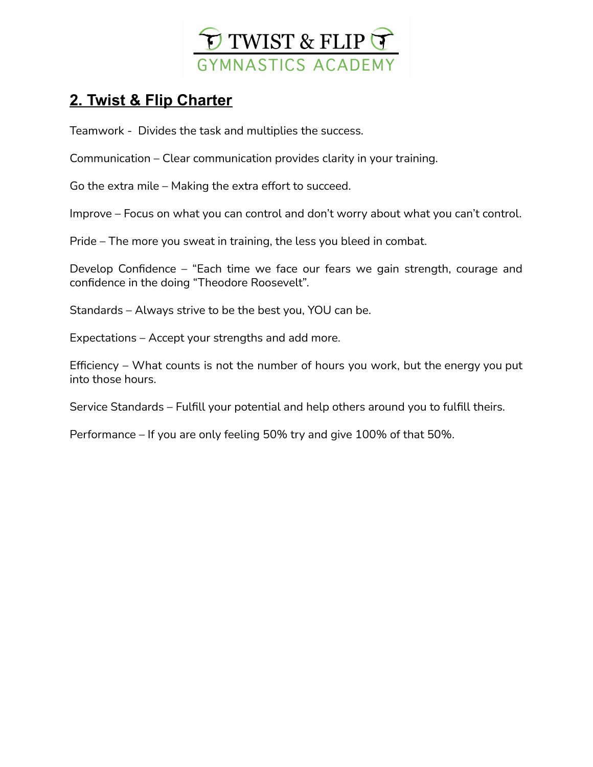

### **2. Twist & Flip Charter**

Teamwork - Divides the task and multiplies the success.

Communication – Clear communication provides clarity in your training.

Go the extra mile – Making the extra effort to succeed.

Improve – Focus on what you can control and don't worry about what you can't control.

Pride – The more you sweat in training, the less you bleed in combat.

Develop Confidence – "Each time we face our fears we gain strength, courage and confidence in the doing "Theodore Roosevelt".

Standards – Always strive to be the best you, YOU can be.

Expectations – Accept your strengths and add more.

Efficiency – What counts is not the number of hours you work, but the energy you put into those hours.

Service Standards – Fulfill your potential and help others around you to fulfill theirs.

Performance – If you are only feeling 50% try and give 100% of that 50%.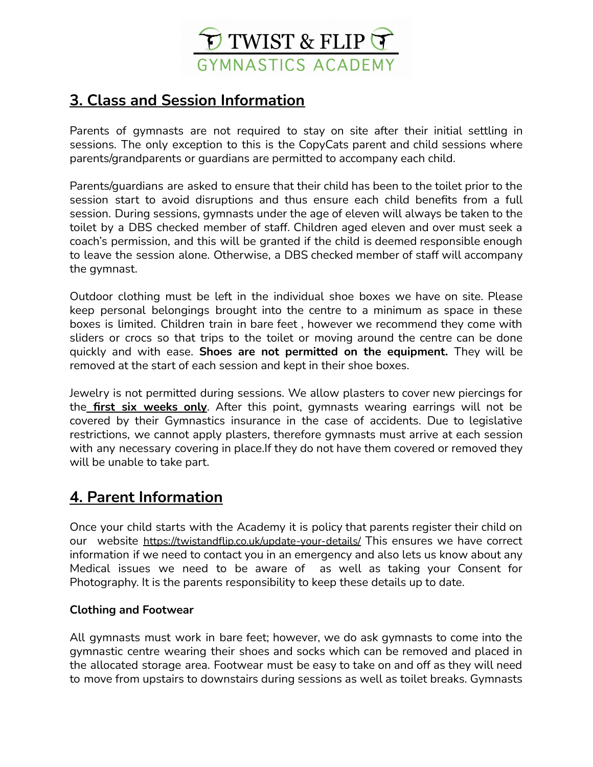

### **3. Class and Session Information**

Parents of gymnasts are not required to stay on site after their initial settling in sessions. The only exception to this is the CopyCats parent and child sessions where parents/grandparents or guardians are permitted to accompany each child.

Parents/guardians are asked to ensure that their child has been to the toilet prior to the session start to avoid disruptions and thus ensure each child benefits from a full session. During sessions, gymnasts under the age of eleven will always be taken to the toilet by a DBS checked member of staff. Children aged eleven and over must seek a coach's permission, and this will be granted if the child is deemed responsible enough to leave the session alone. Otherwise, a DBS checked member of staff will accompany the gymnast.

Outdoor clothing must be left in the individual shoe boxes we have on site. Please keep personal belongings brought into the centre to a minimum as space in these boxes is limited. Children train in bare feet , however we recommend they come with sliders or crocs so that trips to the toilet or moving around the centre can be done quickly and with ease. **Shoes are not permitted on the equipment.** They will be removed at the start of each session and kept in their shoe boxes.

Jewelry is not permitted during sessions. We allow plasters to cover new piercings for the **first six weeks only**. After this point, gymnasts wearing earrings will not be covered by their Gymnastics insurance in the case of accidents. Due to legislative restrictions, we cannot apply plasters, therefore gymnasts must arrive at each session with any necessary covering in place.If they do not have them covered or removed they will be unable to take part.

### **4. Parent Information**

Once your child starts with the Academy it is policy that parents register their child on our website <https://twistandflip.co.uk/update-your-details/> This ensures we have correct information if we need to contact you in an emergency and also lets us know about any Medical issues we need to be aware of as well as taking your Consent for Photography. It is the parents responsibility to keep these details up to date.

### **Clothing and Footwear**

All gymnasts must work in bare feet; however, we do ask gymnasts to come into the gymnastic centre wearing their shoes and socks which can be removed and placed in the allocated storage area. Footwear must be easy to take on and off as they will need to move from upstairs to downstairs during sessions as well as toilet breaks. Gymnasts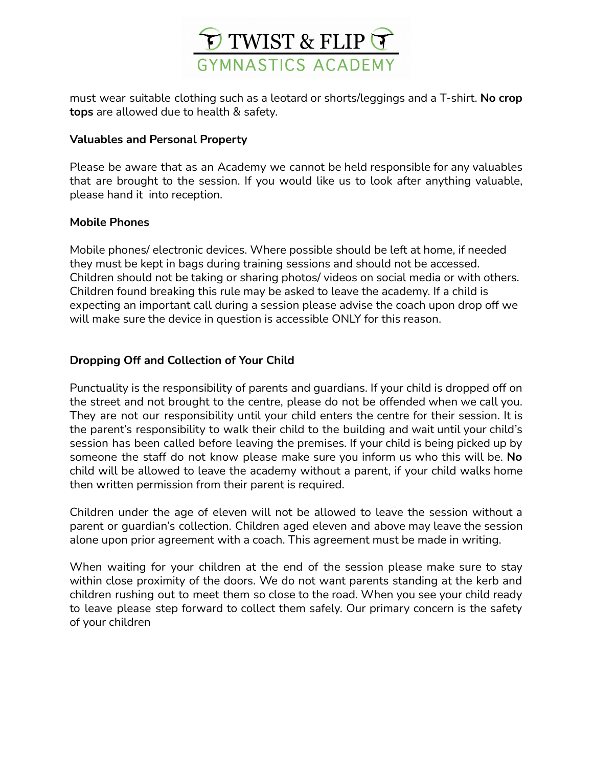

must wear suitable clothing such as a leotard or shorts/leggings and a T-shirt. **No crop tops** are allowed due to health & safety.

#### **Valuables and Personal Property**

Please be aware that as an Academy we cannot be held responsible for any valuables that are brought to the session. If you would like us to look after anything valuable, please hand it into reception.

#### **Mobile Phones**

Mobile phones/ electronic devices. Where possible should be left at home, if needed they must be kept in bags during training sessions and should not be accessed. Children should not be taking or sharing photos/ videos on social media or with others. Children found breaking this rule may be asked to leave the academy. If a child is expecting an important call during a session please advise the coach upon drop off we will make sure the device in question is accessible ONLY for this reason.

### **Dropping Off and Collection of Your Child**

Punctuality is the responsibility of parents and guardians. If your child is dropped off on the street and not brought to the centre, please do not be offended when we call you. They are not our responsibility until your child enters the centre for their session. It is the parent's responsibility to walk their child to the building and wait until your child's session has been called before leaving the premises. If your child is being picked up by someone the staff do not know please make sure you inform us who this will be. **No** child will be allowed to leave the academy without a parent, if your child walks home then written permission from their parent is required.

Children under the age of eleven will not be allowed to leave the session without a parent or guardian's collection. Children aged eleven and above may leave the session alone upon prior agreement with a coach. This agreement must be made in writing.

When waiting for your children at the end of the session please make sure to stay within close proximity of the doors. We do not want parents standing at the kerb and children rushing out to meet them so close to the road. When you see your child ready to leave please step forward to collect them safely. Our primary concern is the safety of your children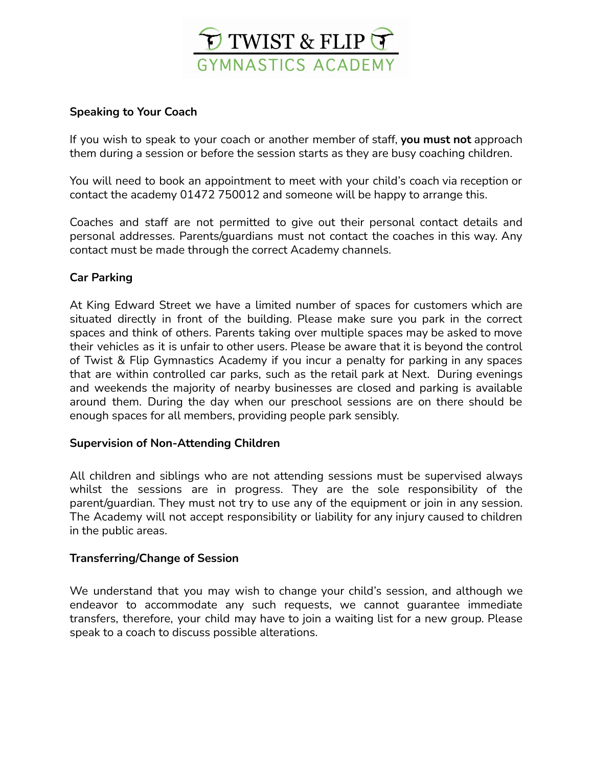

### **Speaking to Your Coach**

If you wish to speak to your coach or another member of staff, **you must not** approach them during a session or before the session starts as they are busy coaching children.

You will need to book an appointment to meet with your child's coach via reception or contact the academy 01472 750012 and someone will be happy to arrange this.

Coaches and staff are not permitted to give out their personal contact details and personal addresses. Parents/guardians must not contact the coaches in this way. Any contact must be made through the correct Academy channels.

### **Car Parking**

At King Edward Street we have a limited number of spaces for customers which are situated directly in front of the building. Please make sure you park in the correct spaces and think of others. Parents taking over multiple spaces may be asked to move their vehicles as it is unfair to other users. Please be aware that it is beyond the control of Twist & Flip Gymnastics Academy if you incur a penalty for parking in any spaces that are within controlled car parks, such as the retail park at Next. During evenings and weekends the majority of nearby businesses are closed and parking is available around them. During the day when our preschool sessions are on there should be enough spaces for all members, providing people park sensibly.

### **Supervision of Non-Attending Children**

All children and siblings who are not attending sessions must be supervised always whilst the sessions are in progress. They are the sole responsibility of the parent/guardian. They must not try to use any of the equipment or join in any session. The Academy will not accept responsibility or liability for any injury caused to children in the public areas.

### **Transferring/Change of Session**

We understand that you may wish to change your child's session, and although we endeavor to accommodate any such requests, we cannot guarantee immediate transfers, therefore, your child may have to join a waiting list for a new group. Please speak to a coach to discuss possible alterations.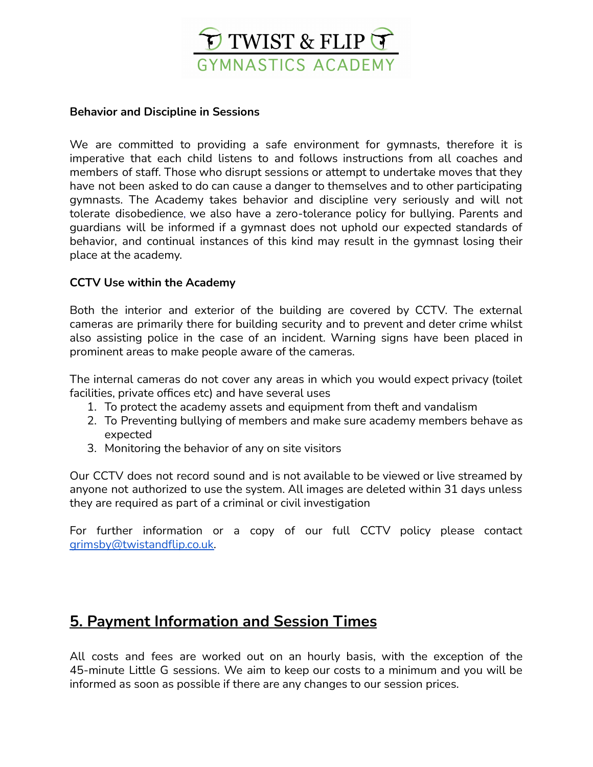

#### **Behavior and Discipline in Sessions**

We are committed to providing a safe environment for gymnasts, therefore it is imperative that each child listens to and follows instructions from all coaches and members of staff. Those who disrupt sessions or attempt to undertake moves that they have not been asked to do can cause a danger to themselves and to other participating gymnasts. The Academy takes behavior and discipline very seriously and will not tolerate disobedience, we also have a zero-tolerance policy for bullying. Parents and guardians will be informed if a gymnast does not uphold our expected standards of behavior, and continual instances of this kind may result in the gymnast losing their place at the academy.

### **CCTV Use within the Academy**

Both the interior and exterior of the building are covered by CCTV. The external cameras are primarily there for building security and to prevent and deter crime whilst also assisting police in the case of an incident. Warning signs have been placed in prominent areas to make people aware of the cameras.

The internal cameras do not cover any areas in which you would expect privacy (toilet facilities, private offices etc) and have several uses

- 1. To protect the academy assets and equipment from theft and vandalism
- 2. To Preventing bullying of members and make sure academy members behave as expected
- 3. Monitoring the behavior of any on site visitors

Our CCTV does not record sound and is not available to be viewed or live streamed by anyone not authorized to use the system. All images are deleted within 31 days unless they are required as part of a criminal or civil investigation

For further information or a copy of our full CCTV policy please contact [grimsby@twistandflip.co.uk.](mailto:grimsby@twistandflip.co.uk)

### **5. Payment Information and Session Times**

All costs and fees are worked out on an hourly basis, with the exception of the 45-minute Little G sessions. We aim to keep our costs to a minimum and you will be informed as soon as possible if there are any changes to our session prices.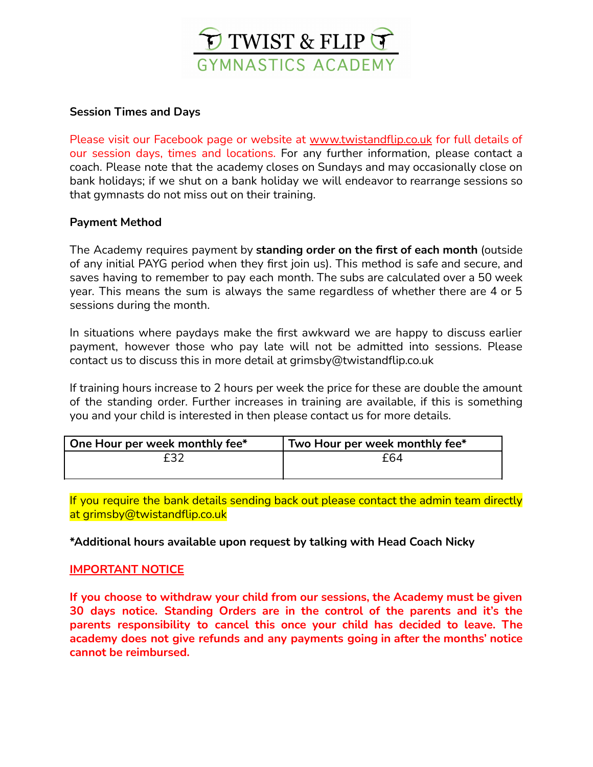

### **Session Times and Days**

Please visit our Facebook page or website at [www.twistandflip.co.uk](http://www.grimsbytwistandflip.co.uk/) for full details of our session days, times and locations. For any further information, please contact a coach. Please note that the academy closes on Sundays and may occasionally close on bank holidays; if we shut on a bank holiday we will endeavor to rearrange sessions so that gymnasts do not miss out on their training.

### **Payment Method**

The Academy requires payment by **standing order on the first of each month** (outside of any initial PAYG period when they first join us). This method is safe and secure, and saves having to remember to pay each month. The subs are calculated over a 50 week year. This means the sum is always the same regardless of whether there are 4 or 5 sessions during the month.

In situations where paydays make the first awkward we are happy to discuss earlier payment, however those who pay late will not be admitted into sessions. Please contact us to discuss this in more detail at grimsby@twistandflip.co.uk

If training hours increase to 2 hours per week the price for these are double the amount of the standing order. Further increases in training are available, if this is something you and your child is interested in then please contact us for more details.

| One Hour per week monthly fee* | Two Hour per week monthly fee* |
|--------------------------------|--------------------------------|
| f32                            | f64                            |
|                                |                                |

If you require the bank details sending back out please contact the admin team directly at grimsby@twistandflip.co.uk

### **\*Additional hours available upon request by talking with Head Coach Nicky**

### **IMPORTANT NOTICE**

**If you choose to withdraw your child from our sessions, the Academy must be given 30 days notice. Standing Orders are in the control of the parents and it's the parents responsibility to cancel this once your child has decided to leave. The academy does not give refunds and any payments going in after the months' notice cannot be reimbursed.**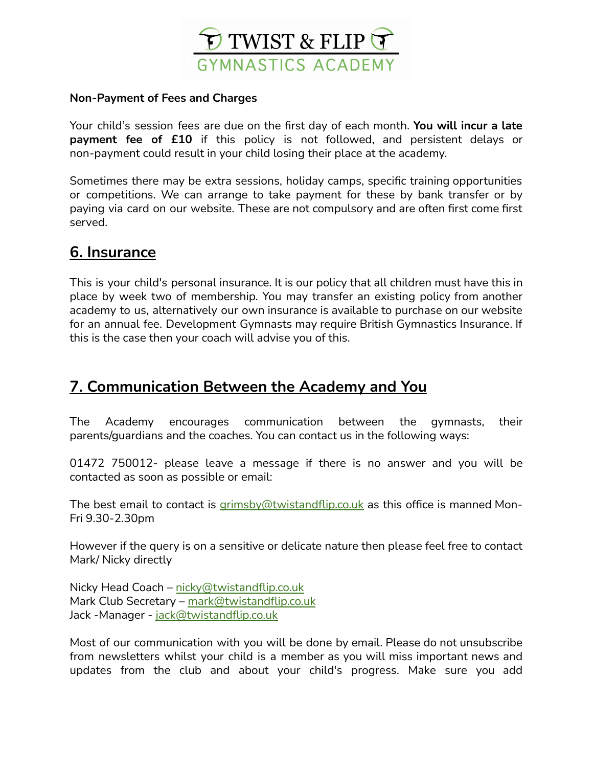

#### **Non-Payment of Fees and Charges**

Your child's session fees are due on the first day of each month. **You will incur a late payment fee of £10** if this policy is not followed, and persistent delays or non-payment could result in your child losing their place at the academy.

Sometimes there may be extra sessions, holiday camps, specific training opportunities or competitions. We can arrange to take payment for these by bank transfer or by paying via card on our website. These are not compulsory and are often first come first served.

### **6. Insurance**

This is your child's personal insurance. It is our policy that all children must have this in place by week two of membership. You may transfer an existing policy from another academy to us, alternatively our own insurance is available to purchase on our website for an annual fee. Development Gymnasts may require British Gymnastics Insurance. If this is the case then your coach will advise you of this.

### **7. Communication Between the Academy and You**

The Academy encourages communication between the gymnasts, their parents/guardians and the coaches. You can contact us in the following ways:

01472 750012- please leave a message if there is no answer and you will be contacted as soon as possible or email:

The best email to contact is [grimsby@twistandflip.co.uk](mailto:grimsby@twistandflip.co.uk) as this office is manned Mon-Fri 9.30-2.30pm

However if the query is on a sensitive or delicate nature then please feel free to contact Mark/ Nicky directly

Nicky Head Coach – [nicky@twistandflip.co.uk](mailto:nicky@twistandflip.co.uk) Mark Club Secretary - [mark@twistandflip.co.uk](mailto:mark@twistandflip.co.uk) Jack -Manager - [jack@twistandflip.co.uk](mailto:jack@twistandflip.co.uk)

Most of our communication with you will be done by email. Please do not unsubscribe from newsletters whilst your child is a member as you will miss important news and updates from the club and about your child's progress. Make sure you add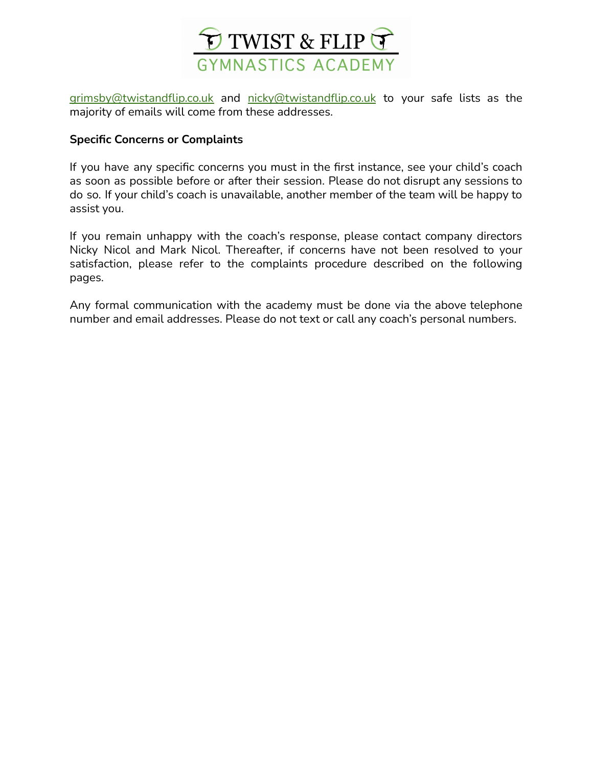

[grimsby@twistandflip.co.uk](mailto:grimsby@twistandflip.co.uk) and [nicky@twistandflip.co.uk](mailto:nicky@twistandflip.co.uk) to your safe lists as the majority of emails will come from these addresses.

#### **Specific Concerns or Complaints**

If you have any specific concerns you must in the first instance, see your child's coach as soon as possible before or after their session. Please do not disrupt any sessions to do so. If your child's coach is unavailable, another member of the team will be happy to assist you.

If you remain unhappy with the coach's response, please contact company directors Nicky Nicol and Mark Nicol. Thereafter, if concerns have not been resolved to your satisfaction, please refer to the complaints procedure described on the following pages.

Any formal communication with the academy must be done via the above telephone number and email addresses. Please do not text or call any coach's personal numbers.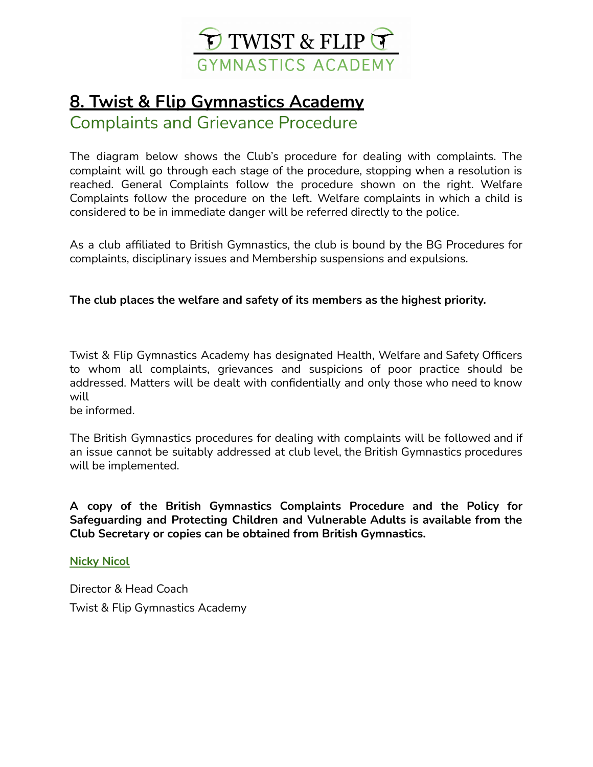

# **8. Twist & Flip Gymnastics Academy**

Complaints and Grievance Procedure

The diagram below shows the Club's procedure for dealing with complaints. The complaint will go through each stage of the procedure, stopping when a resolution is reached. General Complaints follow the procedure shown on the right. Welfare Complaints follow the procedure on the left. Welfare complaints in which a child is considered to be in immediate danger will be referred directly to the police.

As a club affiliated to British Gymnastics, the club is bound by the BG Procedures for complaints, disciplinary issues and Membership suspensions and expulsions.

### **The club places the welfare and safety of its members as the highest priority.**

Twist & Flip Gymnastics Academy has designated Health, Welfare and Safety Officers to whom all complaints, grievances and suspicions of poor practice should be addressed. Matters will be dealt with confidentially and only those who need to know will

be informed.

The British Gymnastics procedures for dealing with complaints will be followed and if an issue cannot be suitably addressed at club level, the British Gymnastics procedures will be implemented.

**A copy of the British Gymnastics Complaints Procedure and the Policy for Safeguarding and Protecting Children and Vulnerable Adults is available from the Club Secretary or copies can be obtained from British Gymnastics.**

**Nicky Nicol**

Director & Head Coach Twist & Flip Gymnastics Academy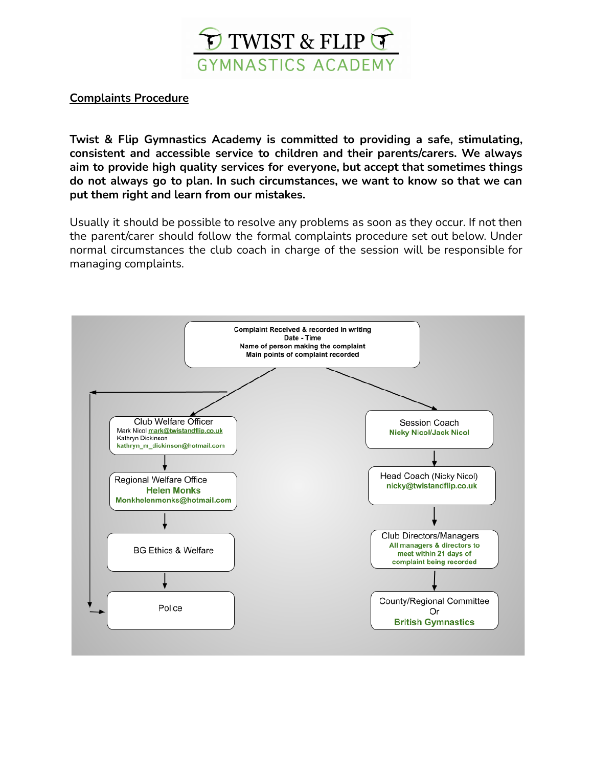

### **Complaints Procedure**

**Twist & Flip Gymnastics Academy is committed to providing a safe, stimulating, consistent and accessible service to children and their parents/carers. We always aim to provide high quality services for everyone, but accept that sometimes things do not always go to plan. In such circumstances, we want to know so that we can put them right and learn from our mistakes.**

Usually it should be possible to resolve any problems as soon as they occur. If not then the parent/carer should follow the formal complaints procedure set out below. Under normal circumstances the club coach in charge of the session will be responsible for managing complaints.

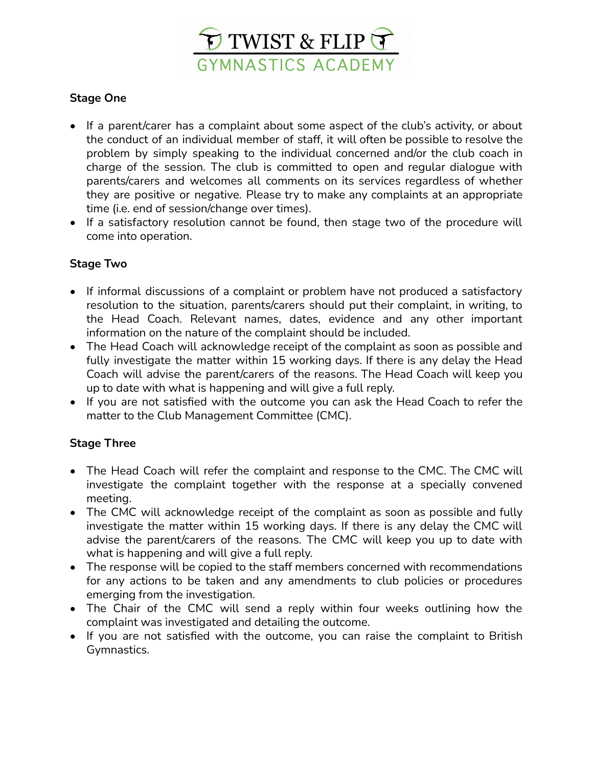

### **Stage One**

- If a parent/carer has a complaint about some aspect of the club's activity, or about the conduct of an individual member of staff, it will often be possible to resolve the problem by simply speaking to the individual concerned and/or the club coach in charge of the session. The club is committed to open and regular dialogue with parents/carers and welcomes all comments on its services regardless of whether they are positive or negative. Please try to make any complaints at an appropriate time (i.e. end of session/change over times).
- If a satisfactory resolution cannot be found, then stage two of the procedure will come into operation.

### **Stage Two**

- If informal discussions of a complaint or problem have not produced a satisfactory resolution to the situation, parents/carers should put their complaint, in writing, to the Head Coach. Relevant names, dates, evidence and any other important information on the nature of the complaint should be included.
- The Head Coach will acknowledge receipt of the complaint as soon as possible and fully investigate the matter within 15 working days. If there is any delay the Head Coach will advise the parent/carers of the reasons. The Head Coach will keep you up to date with what is happening and will give a full reply.
- **•** If you are not satisfied with the outcome you can ask the Head Coach to refer the matter to the Club Management Committee (CMC).

### **Stage Three**

- The Head Coach will refer the complaint and response to the CMC. The CMC will investigate the complaint together with the response at a specially convened meeting.
- The CMC will acknowledge receipt of the complaint as soon as possible and fully investigate the matter within 15 working days. If there is any delay the CMC will advise the parent/carers of the reasons. The CMC will keep you up to date with what is happening and will give a full reply.
- The response will be copied to the staff members concerned with recommendations for any actions to be taken and any amendments to club policies or procedures emerging from the investigation.
- The Chair of the CMC will send a reply within four weeks outlining how the complaint was investigated and detailing the outcome.
- If you are not satisfied with the outcome, you can raise the complaint to British Gymnastics.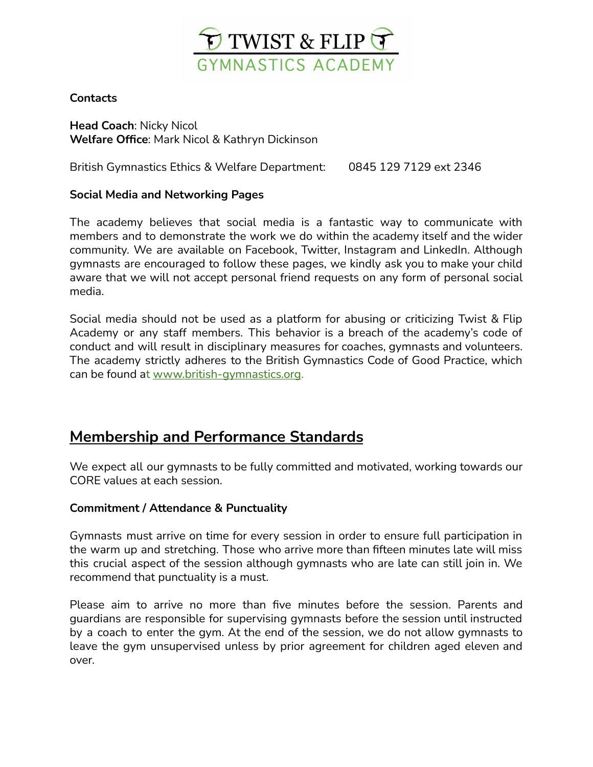

### **Contacts**

**Head Coach**: Nicky Nicol **Welfare Office**: Mark Nicol & Kathryn Dickinson

British Gymnastics Ethics & Welfare Department: 0845 129 7129 ext 2346

### **Social Media and Networking Pages**

The academy believes that social media is a fantastic way to communicate with members and to demonstrate the work we do within the academy itself and the wider community. We are available on Facebook, Twitter, Instagram and LinkedIn. Although gymnasts are encouraged to follow these pages, we kindly ask you to make your child aware that we will not accept personal friend requests on any form of personal social media.

Social media should not be used as a platform for abusing or criticizing Twist & Flip Academy or any staff members. This behavior is a breach of the academy's code of conduct and will result in disciplinary measures for coaches, gymnasts and volunteers. The academy strictly adheres to the British Gymnastics Code of Good Practice, which can be found at [www.british-gymnastics.org](http://www.british-gymnastics.org/).

### **Membership and Performance Standards**

We expect all our gymnasts to be fully committed and motivated, working towards our CORE values at each session.

### **Commitment / Attendance & Punctuality**

Gymnasts must arrive on time for every session in order to ensure full participation in the warm up and stretching. Those who arrive more than fifteen minutes late will miss this crucial aspect of the session although gymnasts who are late can still join in. We recommend that punctuality is a must.

Please aim to arrive no more than five minutes before the session. Parents and guardians are responsible for supervising gymnasts before the session until instructed by a coach to enter the gym. At the end of the session, we do not allow gymnasts to leave the gym unsupervised unless by prior agreement for children aged eleven and over.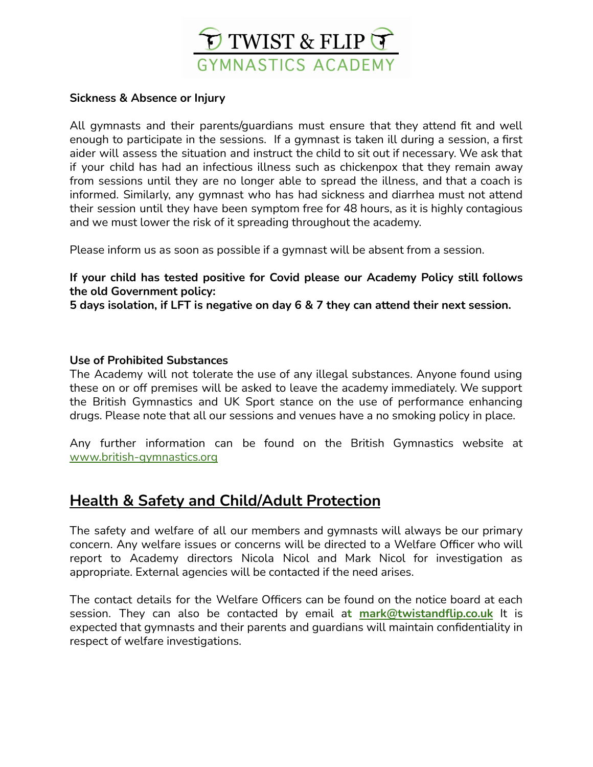

#### **Sickness & Absence or Injury**

All gymnasts and their parents/guardians must ensure that they attend fit and well enough to participate in the sessions. If a gymnast is taken ill during a session, a first aider will assess the situation and instruct the child to sit out if necessary. We ask that if your child has had an infectious illness such as chickenpox that they remain away from sessions until they are no longer able to spread the illness, and that a coach is informed. Similarly, any gymnast who has had sickness and diarrhea must not attend their session until they have been symptom free for 48 hours, as it is highly contagious and we must lower the risk of it spreading throughout the academy.

Please inform us as soon as possible if a gymnast will be absent from a session.

### **If your child has tested positive for Covid please our Academy Policy still follows the old Government policy:**

**5 days isolation, if LFT is negative on day 6 & 7 they can attend their next session.**

### **Use of Prohibited Substances**

The Academy will not tolerate the use of any illegal substances. Anyone found using these on or off premises will be asked to leave the academy immediately. We support the British Gymnastics and UK Sport stance on the use of performance enhancing drugs. Please note that all our sessions and venues have a no smoking policy in place.

Any further information can be found on the British Gymnastics website at [www.british-gymnastics.org](http://www.british-gymnastics.org/)

### **Health & Safety and Child/Adult Protection**

The safety and welfare of all our members and gymnasts will always be our primary concern. Any welfare issues or concerns will be directed to a Welfare Officer who will report to Academy directors Nicola Nicol and Mark Nicol for investigation as appropriate. External agencies will be contacted if the need arises.

The contact details for the Welfare Officers can be found on the notice board at each session. They can also be contacted by email a**t [mark@twistandflip.co.uk](mailto:mark@twistandflip.co.uk)** It is expected that gymnasts and their parents and guardians will maintain confidentiality in respect of welfare investigations.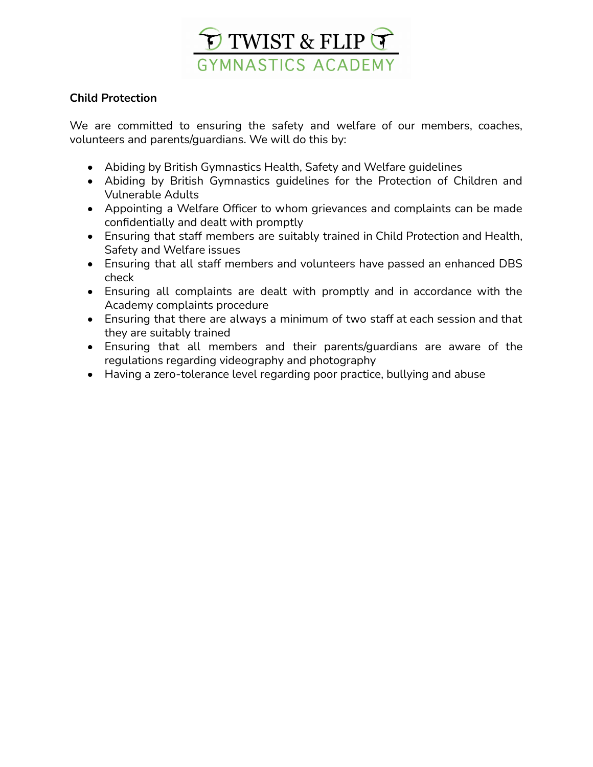

### **Child Protection**

We are committed to ensuring the safety and welfare of our members, coaches, volunteers and parents/guardians. We will do this by:

- Abiding by British Gymnastics Health, Safety and Welfare guidelines
- Abiding by British Gymnastics guidelines for the Protection of Children and Vulnerable Adults
- Appointing a Welfare Officer to whom grievances and complaints can be made confidentially and dealt with promptly
- Ensuring that staff members are suitably trained in Child Protection and Health, Safety and Welfare issues
- Ensuring that all staff members and volunteers have passed an enhanced DBS check
- Ensuring all complaints are dealt with promptly and in accordance with the Academy complaints procedure
- Ensuring that there are always a minimum of two staff at each session and that they are suitably trained
- Ensuring that all members and their parents/guardians are aware of the regulations regarding videography and photography
- Having a zero-tolerance level regarding poor practice, bullying and abuse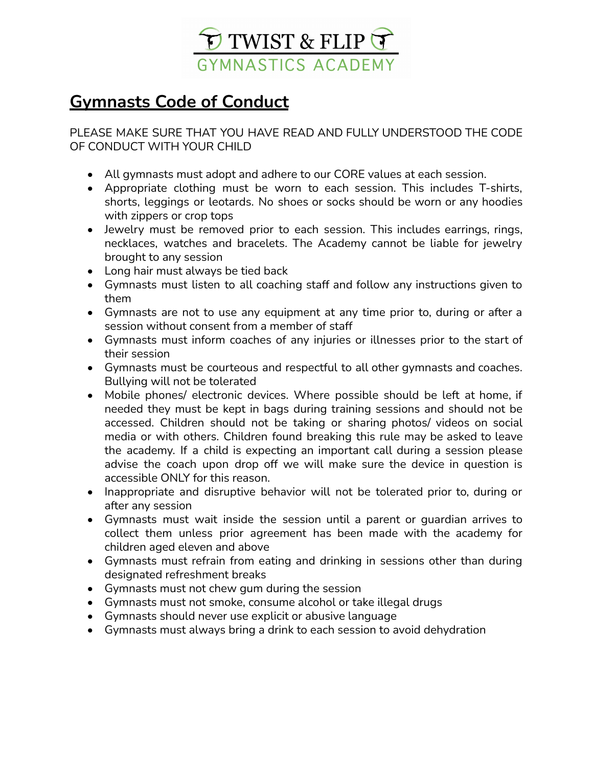

# **Gymnasts Code of Conduct**

PLEASE MAKE SURE THAT YOU HAVE READ AND FULLY UNDERSTOOD THE CODE OF CONDUCT WITH YOUR CHILD

- All gymnasts must adopt and adhere to our CORE values at each session.
- Appropriate clothing must be worn to each session. This includes T-shirts, shorts, leggings or leotards. No shoes or socks should be worn or any hoodies with zippers or crop tops
- Jewelry must be removed prior to each session. This includes earrings, rings, necklaces, watches and bracelets. The Academy cannot be liable for jewelry brought to any session
- Long hair must always be tied back
- Gymnasts must listen to all coaching staff and follow any instructions given to them
- Gymnasts are not to use any equipment at any time prior to, during or after a session without consent from a member of staff
- Gymnasts must inform coaches of any injuries or illnesses prior to the start of their session
- Gymnasts must be courteous and respectful to all other gymnasts and coaches. Bullying will not be tolerated
- Mobile phones/ electronic devices. Where possible should be left at home, if needed they must be kept in bags during training sessions and should not be accessed. Children should not be taking or sharing photos/ videos on social media or with others. Children found breaking this rule may be asked to leave the academy. If a child is expecting an important call during a session please advise the coach upon drop off we will make sure the device in question is accessible ONLY for this reason.
- Inappropriate and disruptive behavior will not be tolerated prior to, during or after any session
- Gymnasts must wait inside the session until a parent or guardian arrives to collect them unless prior agreement has been made with the academy for children aged eleven and above
- Gymnasts must refrain from eating and drinking in sessions other than during designated refreshment breaks
- Gymnasts must not chew gum during the session
- Gymnasts must not smoke, consume alcohol or take illegal drugs
- Gymnasts should never use explicit or abusive language
- Gymnasts must always bring a drink to each session to avoid dehydration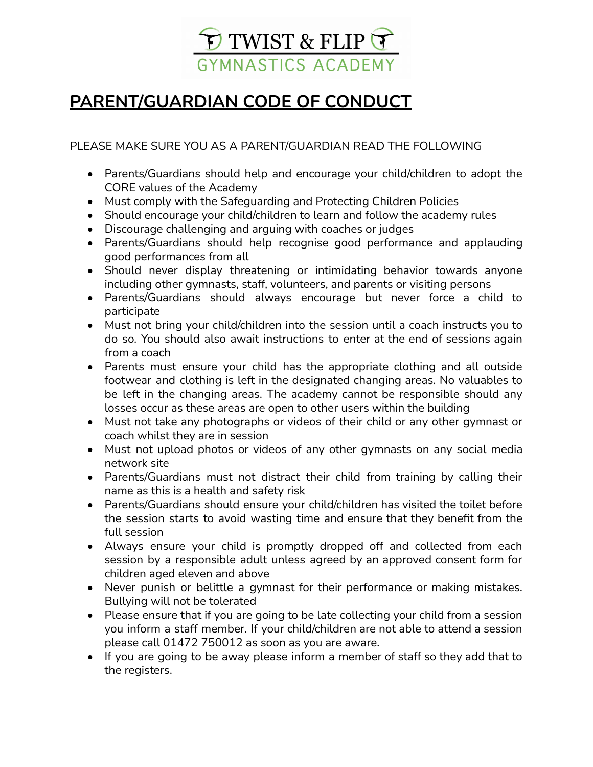

# **PARENT/GUARDIAN CODE OF CONDUCT**

PLEASE MAKE SURE YOU AS A PARENT/GUARDIAN READ THE FOLLOWING

- Parents/Guardians should help and encourage your child/children to adopt the CORE values of the Academy
- Must comply with the Safeguarding and Protecting Children Policies
- Should encourage your child/children to learn and follow the academy rules
- Discourage challenging and arguing with coaches or judges
- Parents/Guardians should help recognise good performance and applauding good performances from all
- Should never display threatening or intimidating behavior towards anyone including other gymnasts, staff, volunteers, and parents or visiting persons
- Parents/Guardians should always encourage but never force a child to participate
- Must not bring your child/children into the session until a coach instructs you to do so. You should also await instructions to enter at the end of sessions again from a coach
- Parents must ensure your child has the appropriate clothing and all outside footwear and clothing is left in the designated changing areas. No valuables to be left in the changing areas. The academy cannot be responsible should any losses occur as these areas are open to other users within the building
- Must not take any photographs or videos of their child or any other gymnast or coach whilst they are in session
- Must not upload photos or videos of any other gymnasts on any social media network site
- Parents/Guardians must not distract their child from training by calling their name as this is a health and safety risk
- Parents/Guardians should ensure your child/children has visited the toilet before the session starts to avoid wasting time and ensure that they benefit from the full session
- Always ensure your child is promptly dropped off and collected from each session by a responsible adult unless agreed by an approved consent form for children aged eleven and above
- Never punish or belittle a gymnast for their performance or making mistakes. Bullying will not be tolerated
- Please ensure that if you are going to be late collecting your child from a session you inform a staff member. If your child/children are not able to attend a session please call 01472 750012 as soon as you are aware.
- If you are going to be away please inform a member of staff so they add that to the registers.